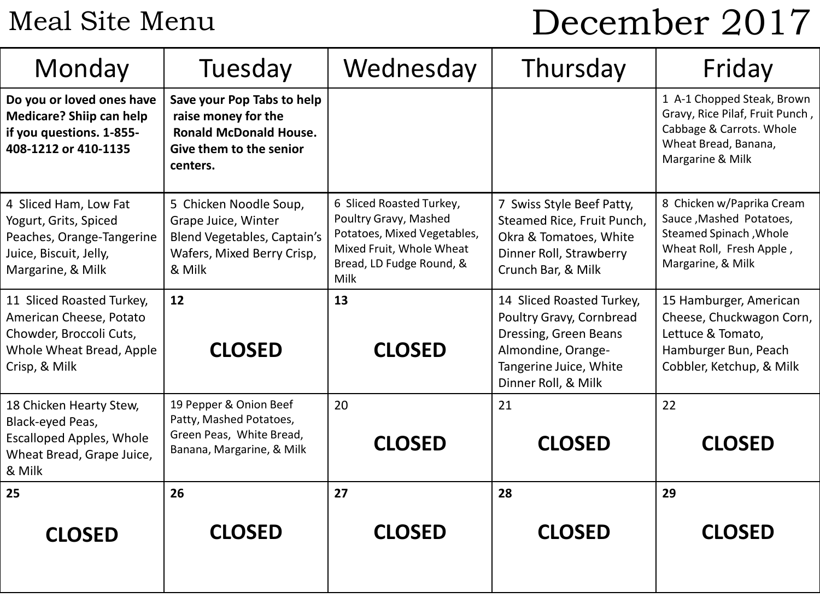## Meal Site Menu

# December 2017

| Monday                                                                                                                       | Tuesday                                                                                                                   | Wednesday                                                                                                                                        | Thursday                                                                                                                                              | Friday                                                                                                                                |
|------------------------------------------------------------------------------------------------------------------------------|---------------------------------------------------------------------------------------------------------------------------|--------------------------------------------------------------------------------------------------------------------------------------------------|-------------------------------------------------------------------------------------------------------------------------------------------------------|---------------------------------------------------------------------------------------------------------------------------------------|
| Do you or loved ones have<br>Medicare? Shiip can help<br>if you questions. 1-855-<br>408-1212 or 410-1135                    | Save your Pop Tabs to help<br>raise money for the<br><b>Ronald McDonald House.</b><br>Give them to the senior<br>centers. |                                                                                                                                                  |                                                                                                                                                       | 1 A-1 Chopped Steak, Brown<br>Gravy, Rice Pilaf, Fruit Punch,<br>Cabbage & Carrots. Whole<br>Wheat Bread, Banana,<br>Margarine & Milk |
| 4 Sliced Ham, Low Fat<br>Yogurt, Grits, Spiced<br>Peaches, Orange-Tangerine<br>Juice, Biscuit, Jelly,<br>Margarine, & Milk   | 5 Chicken Noodle Soup,<br>Grape Juice, Winter<br>Blend Vegetables, Captain's<br>Wafers, Mixed Berry Crisp,<br>& Milk      | 6 Sliced Roasted Turkey,<br>Poultry Gravy, Mashed<br>Potatoes, Mixed Vegetables,<br>Mixed Fruit, Whole Wheat<br>Bread, LD Fudge Round, &<br>Milk | 7 Swiss Style Beef Patty,<br>Steamed Rice, Fruit Punch,<br>Okra & Tomatoes, White<br>Dinner Roll, Strawberry<br>Crunch Bar, & Milk                    | 8 Chicken w/Paprika Cream<br>Sauce, Mashed Potatoes,<br>Steamed Spinach, Whole<br>Wheat Roll, Fresh Apple,<br>Margarine, & Milk       |
| 11 Sliced Roasted Turkey,<br>American Cheese, Potato<br>Chowder, Broccoli Cuts,<br>Whole Wheat Bread, Apple<br>Crisp, & Milk | 12<br><b>CLOSED</b>                                                                                                       | 13<br><b>CLOSED</b>                                                                                                                              | 14 Sliced Roasted Turkey,<br>Poultry Gravy, Cornbread<br>Dressing, Green Beans<br>Almondine, Orange-<br>Tangerine Juice, White<br>Dinner Roll, & Milk | 15 Hamburger, American<br>Cheese, Chuckwagon Corn,<br>Lettuce & Tomato,<br>Hamburger Bun, Peach<br>Cobbler, Ketchup, & Milk           |
| 18 Chicken Hearty Stew,<br>Black-eyed Peas,<br><b>Escalloped Apples, Whole</b><br>Wheat Bread, Grape Juice,<br>& Milk        | 19 Pepper & Onion Beef<br>Patty, Mashed Potatoes,<br>Green Peas, White Bread,<br>Banana, Margarine, & Milk                | 20<br><b>CLOSED</b>                                                                                                                              | 21<br><b>CLOSED</b>                                                                                                                                   | 22<br><b>CLOSED</b>                                                                                                                   |
| 25<br><b>CLOSED</b>                                                                                                          | 26<br><b>CLOSED</b>                                                                                                       | 27<br><b>CLOSED</b>                                                                                                                              | 28<br><b>CLOSED</b>                                                                                                                                   | 29<br><b>CLOSED</b>                                                                                                                   |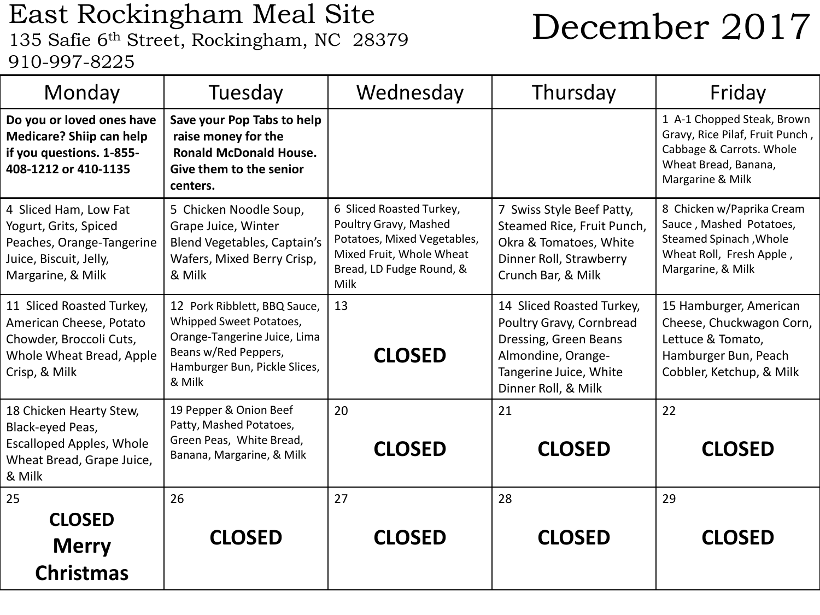## East Rockingham Meal Site East Rockingham Meal Site<br>135 Safie 6<sup>th</sup> Street, Rockingham, NC 28379 **December 2017** 910-997-8225

| Monday                                                                                                                       | Tuesday                                                                                                                                                    | Wednesday                                                                                                                                        | Thursday                                                                                                                                              | Friday                                                                                                                                |
|------------------------------------------------------------------------------------------------------------------------------|------------------------------------------------------------------------------------------------------------------------------------------------------------|--------------------------------------------------------------------------------------------------------------------------------------------------|-------------------------------------------------------------------------------------------------------------------------------------------------------|---------------------------------------------------------------------------------------------------------------------------------------|
| Do you or loved ones have<br><b>Medicare? Shiip can help</b><br>if you questions. 1-855-<br>408-1212 or 410-1135             | Save your Pop Tabs to help<br>raise money for the<br><b>Ronald McDonald House.</b><br>Give them to the senior<br>centers.                                  |                                                                                                                                                  |                                                                                                                                                       | 1 A-1 Chopped Steak, Brown<br>Gravy, Rice Pilaf, Fruit Punch,<br>Cabbage & Carrots. Whole<br>Wheat Bread, Banana,<br>Margarine & Milk |
| 4 Sliced Ham, Low Fat<br>Yogurt, Grits, Spiced<br>Peaches, Orange-Tangerine<br>Juice, Biscuit, Jelly,<br>Margarine, & Milk   | 5 Chicken Noodle Soup,<br>Grape Juice, Winter<br>Blend Vegetables, Captain's<br>Wafers, Mixed Berry Crisp,<br>& Milk                                       | 6 Sliced Roasted Turkey,<br>Poultry Gravy, Mashed<br>Potatoes, Mixed Vegetables,<br>Mixed Fruit, Whole Wheat<br>Bread, LD Fudge Round, &<br>Milk | 7 Swiss Style Beef Patty,<br>Steamed Rice, Fruit Punch,<br>Okra & Tomatoes, White<br>Dinner Roll, Strawberry<br>Crunch Bar, & Milk                    | 8 Chicken w/Paprika Cream<br>Sauce, Mashed Potatoes,<br>Steamed Spinach, Whole<br>Wheat Roll, Fresh Apple,<br>Margarine, & Milk       |
| 11 Sliced Roasted Turkey,<br>American Cheese, Potato<br>Chowder, Broccoli Cuts,<br>Whole Wheat Bread, Apple<br>Crisp, & Milk | 12 Pork Ribblett, BBQ Sauce,<br>Whipped Sweet Potatoes,<br>Orange-Tangerine Juice, Lima<br>Beans w/Red Peppers,<br>Hamburger Bun, Pickle Slices,<br>& Milk | 13<br><b>CLOSED</b>                                                                                                                              | 14 Sliced Roasted Turkey,<br>Poultry Gravy, Cornbread<br>Dressing, Green Beans<br>Almondine, Orange-<br>Tangerine Juice, White<br>Dinner Roll, & Milk | 15 Hamburger, American<br>Cheese, Chuckwagon Corn,<br>Lettuce & Tomato,<br>Hamburger Bun, Peach<br>Cobbler, Ketchup, & Milk           |
| 18 Chicken Hearty Stew,<br>Black-eyed Peas,<br><b>Escalloped Apples, Whole</b><br>Wheat Bread, Grape Juice,<br>& Milk        | 19 Pepper & Onion Beef<br>Patty, Mashed Potatoes,<br>Green Peas, White Bread,<br>Banana, Margarine, & Milk                                                 | 20<br><b>CLOSED</b>                                                                                                                              | 21<br><b>CLOSED</b>                                                                                                                                   | 22<br><b>CLOSED</b>                                                                                                                   |
| 25<br><b>CLOSED</b><br><b>Merry</b><br><b>Christmas</b>                                                                      | 26<br><b>CLOSED</b>                                                                                                                                        | 27<br><b>CLOSED</b>                                                                                                                              | 28<br><b>CLOSED</b>                                                                                                                                   | 29<br><b>CLOSED</b>                                                                                                                   |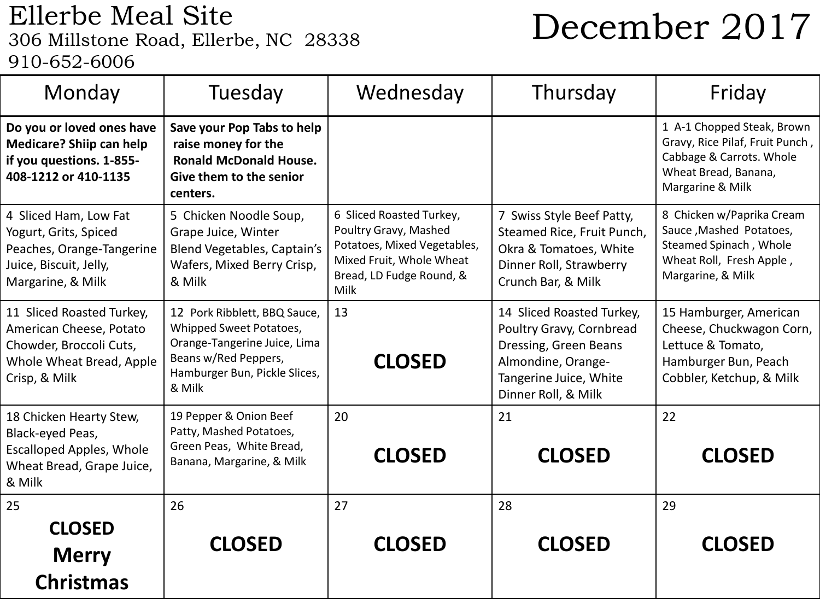## Ellerbe Meal Site<br>306 Millstone Road, Ellerbe, NC 28338 910-652-6006

# December 2017

| Monday                                                                                                                       | Tuesday                                                                                                                                                    | Wednesday                                                                                                                                        | Thursday                                                                                                                                              | Friday                                                                                                                                |
|------------------------------------------------------------------------------------------------------------------------------|------------------------------------------------------------------------------------------------------------------------------------------------------------|--------------------------------------------------------------------------------------------------------------------------------------------------|-------------------------------------------------------------------------------------------------------------------------------------------------------|---------------------------------------------------------------------------------------------------------------------------------------|
| Do you or loved ones have<br><b>Medicare? Shiip can help</b><br>if you questions. 1-855-<br>408-1212 or 410-1135             | Save your Pop Tabs to help<br>raise money for the<br><b>Ronald McDonald House.</b><br>Give them to the senior<br>centers.                                  |                                                                                                                                                  |                                                                                                                                                       | 1 A-1 Chopped Steak, Brown<br>Gravy, Rice Pilaf, Fruit Punch,<br>Cabbage & Carrots. Whole<br>Wheat Bread, Banana,<br>Margarine & Milk |
| 4 Sliced Ham, Low Fat<br>Yogurt, Grits, Spiced<br>Peaches, Orange-Tangerine<br>Juice, Biscuit, Jelly,<br>Margarine, & Milk   | 5 Chicken Noodle Soup,<br>Grape Juice, Winter<br>Blend Vegetables, Captain's<br>Wafers, Mixed Berry Crisp,<br>& Milk                                       | 6 Sliced Roasted Turkey,<br>Poultry Gravy, Mashed<br>Potatoes, Mixed Vegetables,<br>Mixed Fruit, Whole Wheat<br>Bread, LD Fudge Round, &<br>Milk | 7 Swiss Style Beef Patty,<br>Steamed Rice, Fruit Punch,<br>Okra & Tomatoes, White<br>Dinner Roll, Strawberry<br>Crunch Bar, & Milk                    | 8 Chicken w/Paprika Cream<br>Sauce, Mashed Potatoes,<br>Steamed Spinach, Whole<br>Wheat Roll, Fresh Apple,<br>Margarine, & Milk       |
| 11 Sliced Roasted Turkey,<br>American Cheese, Potato<br>Chowder, Broccoli Cuts,<br>Whole Wheat Bread, Apple<br>Crisp, & Milk | 12 Pork Ribblett, BBQ Sauce,<br>Whipped Sweet Potatoes,<br>Orange-Tangerine Juice, Lima<br>Beans w/Red Peppers,<br>Hamburger Bun, Pickle Slices,<br>& Milk | 13<br><b>CLOSED</b>                                                                                                                              | 14 Sliced Roasted Turkey,<br>Poultry Gravy, Cornbread<br>Dressing, Green Beans<br>Almondine, Orange-<br>Tangerine Juice, White<br>Dinner Roll, & Milk | 15 Hamburger, American<br>Cheese, Chuckwagon Corn,<br>Lettuce & Tomato,<br>Hamburger Bun, Peach<br>Cobbler, Ketchup, & Milk           |
| 18 Chicken Hearty Stew,<br>Black-eyed Peas,<br><b>Escalloped Apples, Whole</b><br>Wheat Bread, Grape Juice,<br>& Milk        | 19 Pepper & Onion Beef<br>Patty, Mashed Potatoes,<br>Green Peas, White Bread,<br>Banana, Margarine, & Milk                                                 | 20<br><b>CLOSED</b>                                                                                                                              | 21<br><b>CLOSED</b>                                                                                                                                   | 22<br><b>CLOSED</b>                                                                                                                   |
| 25<br><b>CLOSED</b><br><b>Merry</b><br><b>Christmas</b>                                                                      | 26<br><b>CLOSED</b>                                                                                                                                        | 27<br><b>CLOSED</b>                                                                                                                              | 28<br><b>CLOSED</b>                                                                                                                                   | 29<br><b>CLOSED</b>                                                                                                                   |